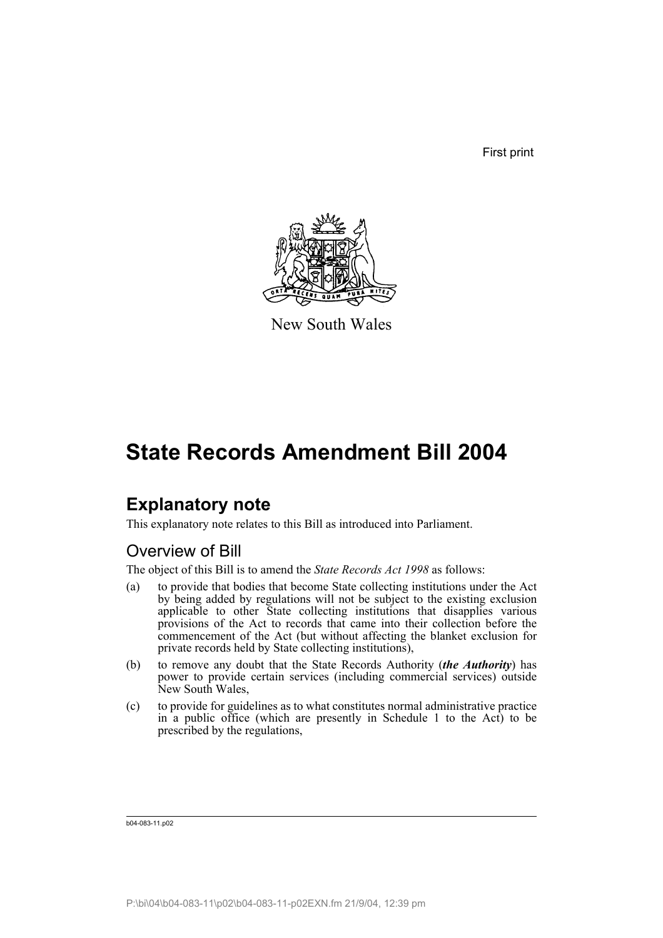First print



New South Wales

# **State Records Amendment Bill 2004**

## **Explanatory note**

This explanatory note relates to this Bill as introduced into Parliament.

## Overview of Bill

The object of this Bill is to amend the *State Records Act 1998* as follows:

- (a) to provide that bodies that become State collecting institutions under the Act by being added by regulations will not be subject to the existing exclusion applicable to other State collecting institutions that disapplies various provisions of the Act to records that came into their collection before the commencement of the Act (but without affecting the blanket exclusion for private records held by State collecting institutions),
- (b) to remove any doubt that the State Records Authority (*the Authority*) has power to provide certain services (including commercial services) outside New South Wales,
- (c) to provide for guidelines as to what constitutes normal administrative practice in a public office (which are presently in Schedule 1 to the Act) to be prescribed by the regulations,

b04-083-11.p02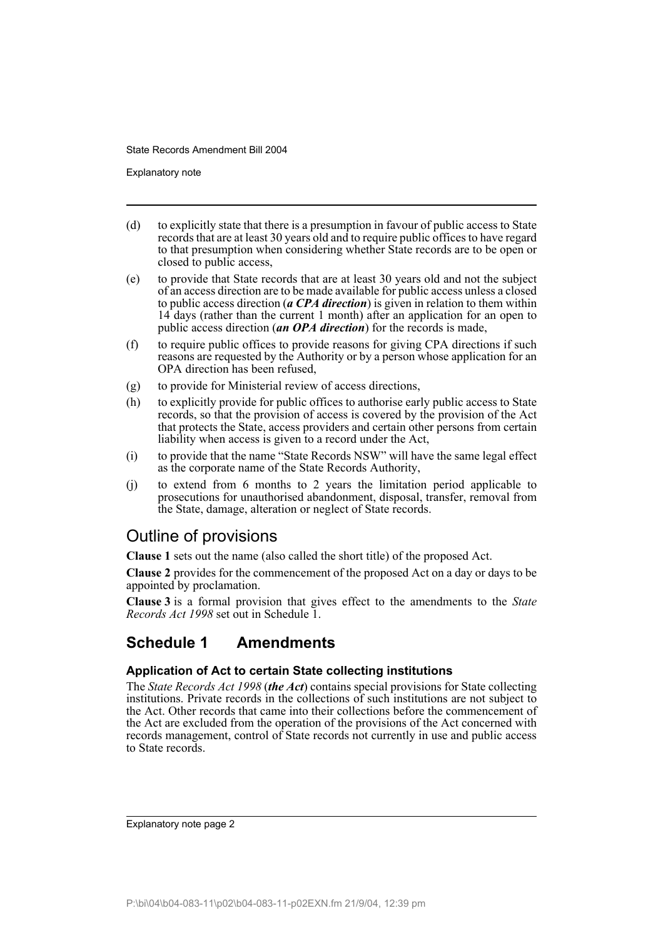Explanatory note

- (d) to explicitly state that there is a presumption in favour of public access to State records that are at least 30 years old and to require public offices to have regard to that presumption when considering whether State records are to be open or closed to public access,
- (e) to provide that State records that are at least 30 years old and not the subject of an access direction are to be made available for public access unless a closed to public access direction (*a CPA direction*) is given in relation to them within 14 days (rather than the current 1 month) after an application for an open to public access direction (*an OPA direction*) for the records is made,
- (f) to require public offices to provide reasons for giving CPA directions if such reasons are requested by the Authority or by a person whose application for an OPA direction has been refused,
- (g) to provide for Ministerial review of access directions,
- (h) to explicitly provide for public offices to authorise early public access to State records, so that the provision of access is covered by the provision of the Act that protects the State, access providers and certain other persons from certain liability when access is given to a record under the Act,
- (i) to provide that the name "State Records NSW" will have the same legal effect as the corporate name of the State Records Authority,
- (j) to extend from 6 months to 2 years the limitation period applicable to prosecutions for unauthorised abandonment, disposal, transfer, removal from the State, damage, alteration or neglect of State records.

## Outline of provisions

**Clause 1** sets out the name (also called the short title) of the proposed Act.

**Clause 2** provides for the commencement of the proposed Act on a day or days to be appointed by proclamation.

**Clause 3** is a formal provision that gives effect to the amendments to the *State Records Act 1998* set out in Schedule 1.

## **Schedule 1 Amendments**

#### **Application of Act to certain State collecting institutions**

The *State Records Act 1998* (*the Act*) contains special provisions for State collecting institutions. Private records in the collections of such institutions are not subject to the Act. Other records that came into their collections before the commencement of the Act are excluded from the operation of the provisions of the Act concerned with records management, control of State records not currently in use and public access to State records.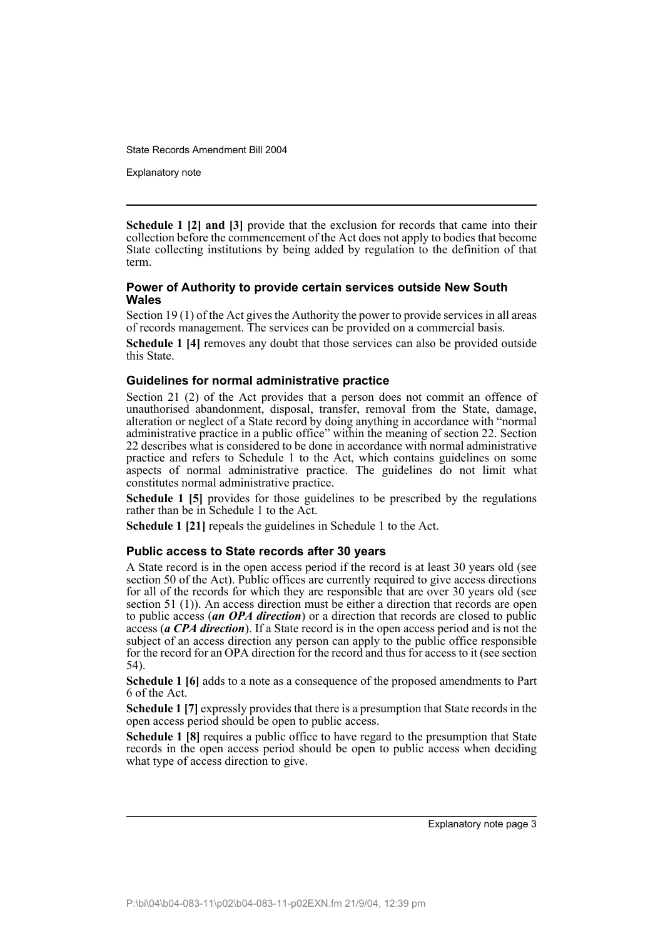Explanatory note

**Schedule 1 [2] and [3]** provide that the exclusion for records that came into their collection before the commencement of the Act does not apply to bodies that become State collecting institutions by being added by regulation to the definition of that term.

#### **Power of Authority to provide certain services outside New South Wales**

Section 19 (1) of the Act gives the Authority the power to provide services in all areas of records management. The services can be provided on a commercial basis.

**Schedule 1 [4]** removes any doubt that those services can also be provided outside this State.

#### **Guidelines for normal administrative practice**

Section 21 (2) of the Act provides that a person does not commit an offence of unauthorised abandonment, disposal, transfer, removal from the State, damage, alteration or neglect of a State record by doing anything in accordance with "normal administrative practice in a public office" within the meaning of section 22. Section 22 describes what is considered to be done in accordance with normal administrative practice and refers to Schedule 1 to the Act, which contains guidelines on some aspects of normal administrative practice. The guidelines do not limit what constitutes normal administrative practice.

**Schedule 1 [5]** provides for those guidelines to be prescribed by the regulations rather than be in Schedule 1 to the Act.

**Schedule 1 [21]** repeals the guidelines in Schedule 1 to the Act.

#### **Public access to State records after 30 years**

A State record is in the open access period if the record is at least 30 years old (see section 50 of the Act). Public offices are currently required to give access directions for all of the records for which they are responsible that are over 30 years old (see section 51 (1)). An access direction must be either a direction that records are open to public access (*an OPA direction*) or a direction that records are closed to public access (*a CPA direction*). If a State record is in the open access period and is not the subject of an access direction any person can apply to the public office responsible for the record for an OPA direction for the record and thus for access to it (see section 54).

**Schedule 1 [6]** adds to a note as a consequence of the proposed amendments to Part 6 of the Act.

**Schedule 1 [7]** expressly provides that there is a presumption that State records in the open access period should be open to public access.

**Schedule 1 [8]** requires a public office to have regard to the presumption that State records in the open access period should be open to public access when deciding what type of access direction to give.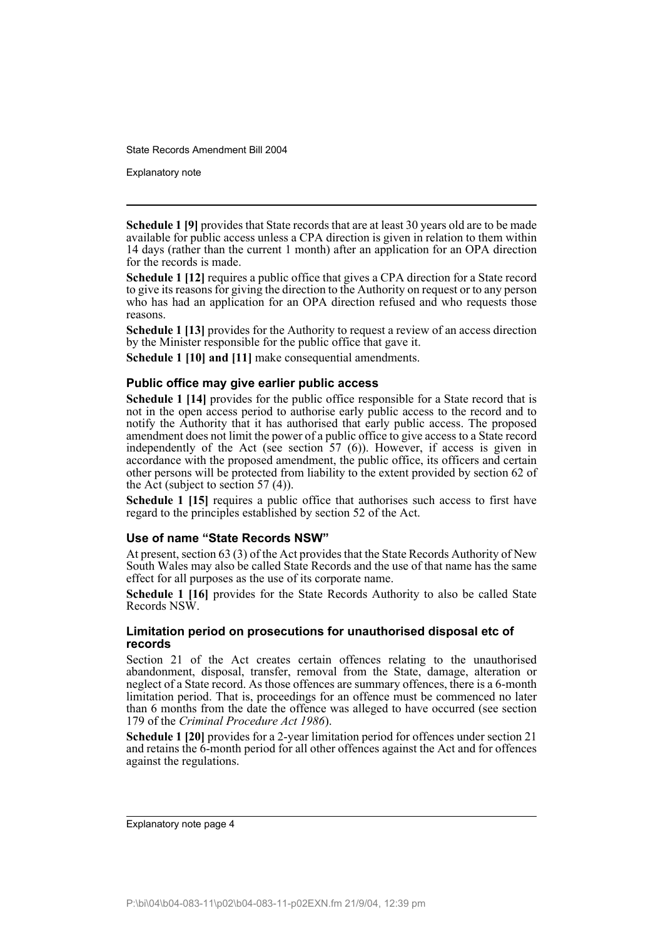Explanatory note

**Schedule 1 [9]** provides that State records that are at least 30 years old are to be made available for public access unless a CPA direction is given in relation to them within 14 days (rather than the current 1 month) after an application for an OPA direction for the records is made.

**Schedule 1 [12]** requires a public office that gives a CPA direction for a State record to give its reasons for giving the direction to the Authority on request or to any person who has had an application for an OPA direction refused and who requests those reasons.

**Schedule 1 [13]** provides for the Authority to request a review of an access direction by the Minister responsible for the public office that gave it.

**Schedule 1 [10] and [11]** make consequential amendments.

#### **Public office may give earlier public access**

**Schedule 1 [14]** provides for the public office responsible for a State record that is not in the open access period to authorise early public access to the record and to notify the Authority that it has authorised that early public access. The proposed amendment does not limit the power of a public office to give access to a State record independently of the Act (see section  $57(6)$ ). However, if access is given in accordance with the proposed amendment, the public office, its officers and certain other persons will be protected from liability to the extent provided by section 62 of the Act (subject to section 57 (4)).

**Schedule 1 [15]** requires a public office that authorises such access to first have regard to the principles established by section 52 of the Act.

#### **Use of name "State Records NSW"**

At present, section 63 (3) of the Act provides that the State Records Authority of New South Wales may also be called State Records and the use of that name has the same effect for all purposes as the use of its corporate name.

**Schedule 1 [16]** provides for the State Records Authority to also be called State Records NSW.

#### **Limitation period on prosecutions for unauthorised disposal etc of records**

Section 21 of the Act creates certain offences relating to the unauthorised abandonment, disposal, transfer, removal from the State, damage, alteration or neglect of a State record. As those offences are summary offences, there is a 6-month limitation period. That is, proceedings for an offence must be commenced no later than 6 months from the date the offence was alleged to have occurred (see section 179 of the *Criminal Procedure Act 1986*).

**Schedule 1 [20]** provides for a 2-year limitation period for offences under section 21 and retains the 6-month period for all other offences against the Act and for offences against the regulations.

Explanatory note page 4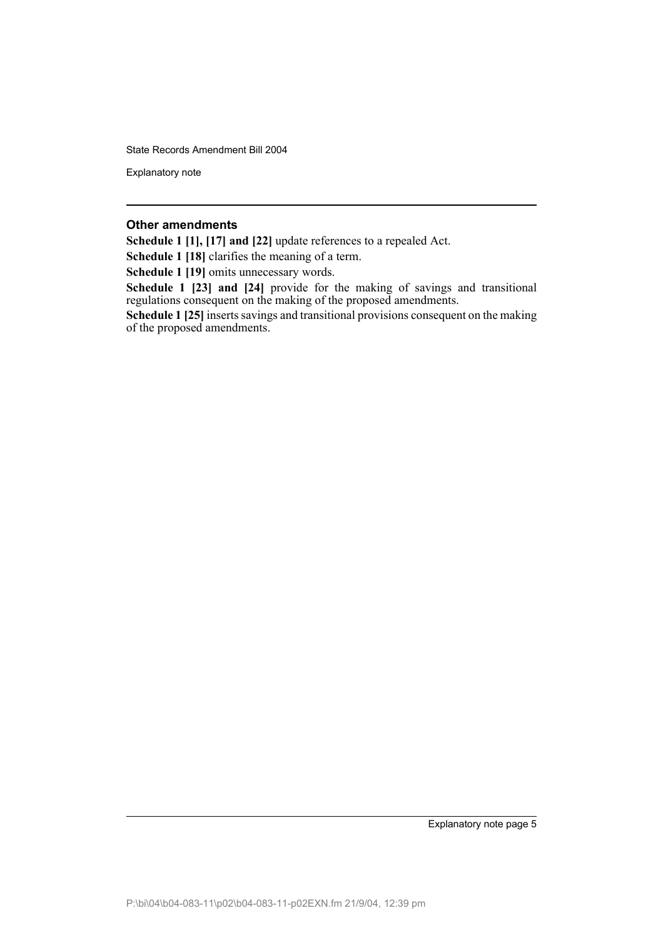Explanatory note

#### **Other amendments**

**Schedule 1 [1], [17] and [22]** update references to a repealed Act.

**Schedule 1 [18]** clarifies the meaning of a term.

**Schedule 1 [19]** omits unnecessary words.

**Schedule 1 [23] and [24]** provide for the making of savings and transitional regulations consequent on the making of the proposed amendments.

**Schedule 1 [25]** inserts savings and transitional provisions consequent on the making of the proposed amendments.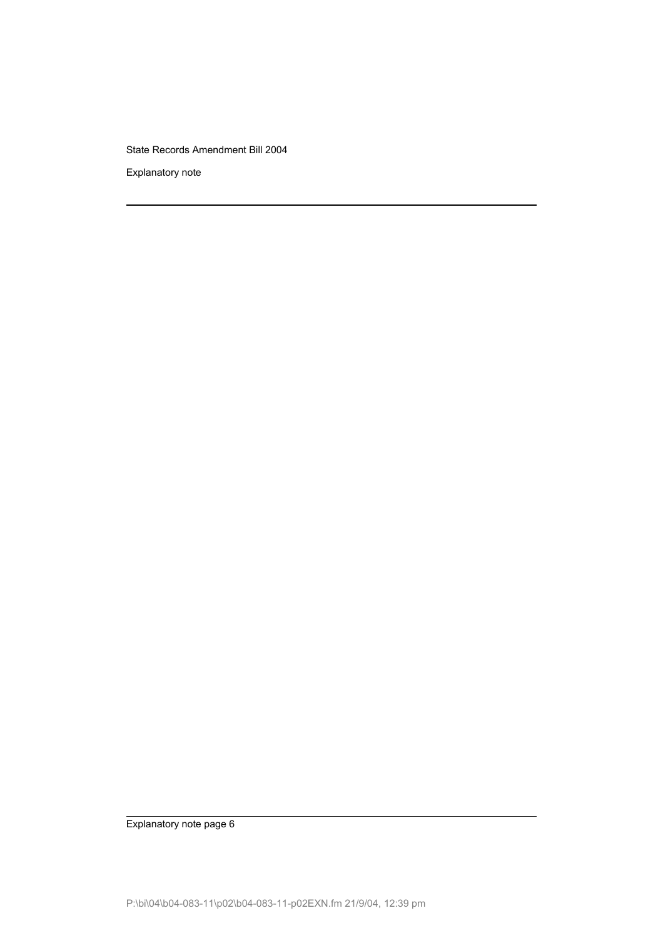Explanatory note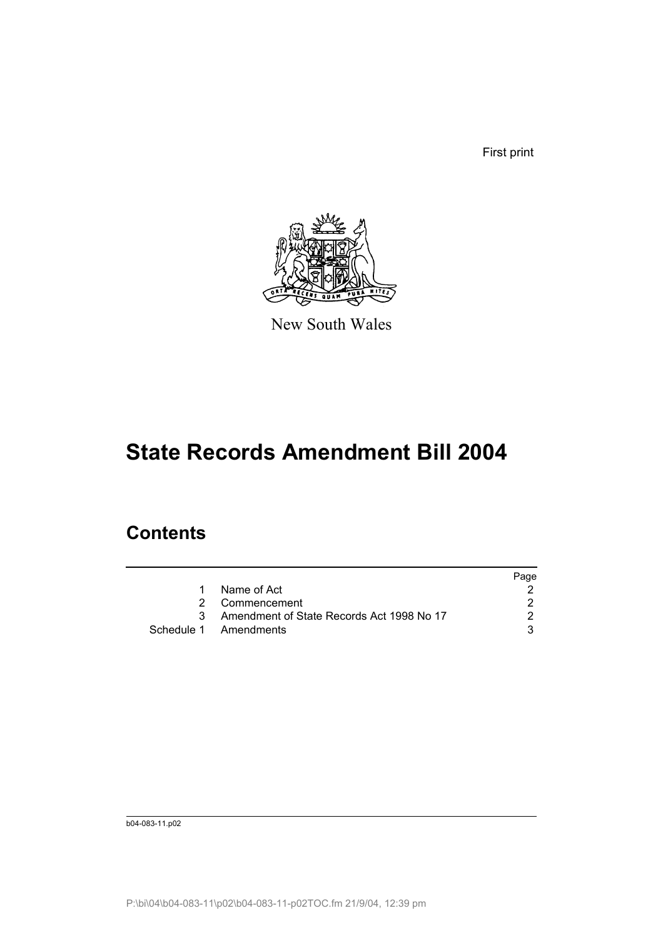First print



New South Wales

# **State Records Amendment Bill 2004**

# **Contents**

|           |                                             | Page |
|-----------|---------------------------------------------|------|
| $1 \quad$ | Name of Act                                 |      |
|           | 2 Commencement                              |      |
|           | 3 Amendment of State Records Act 1998 No 17 |      |
|           | Schedule 1 Amendments                       | З.   |

b04-083-11.p02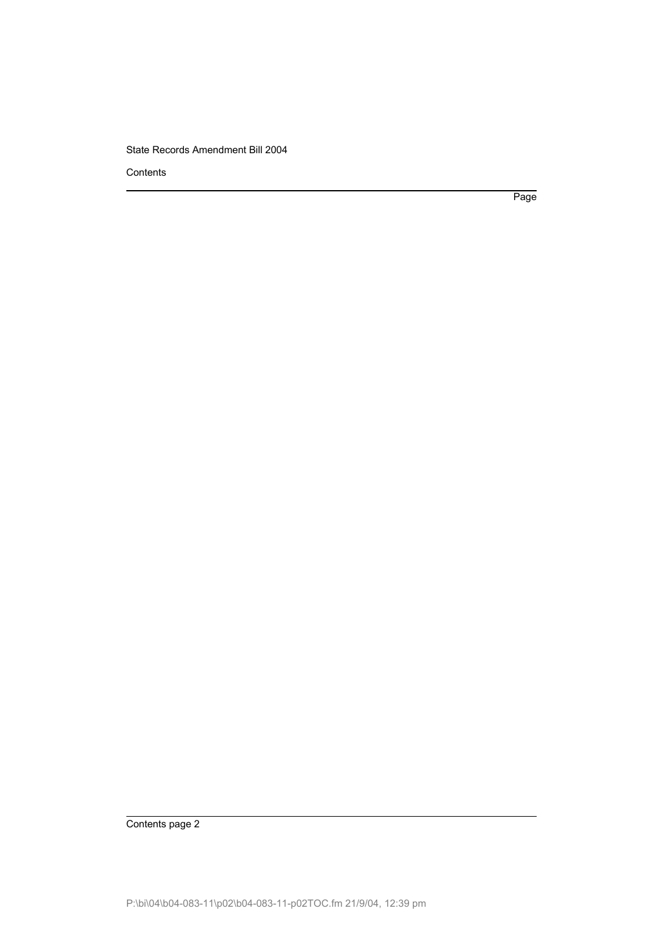**Contents** 

Page

Contents page 2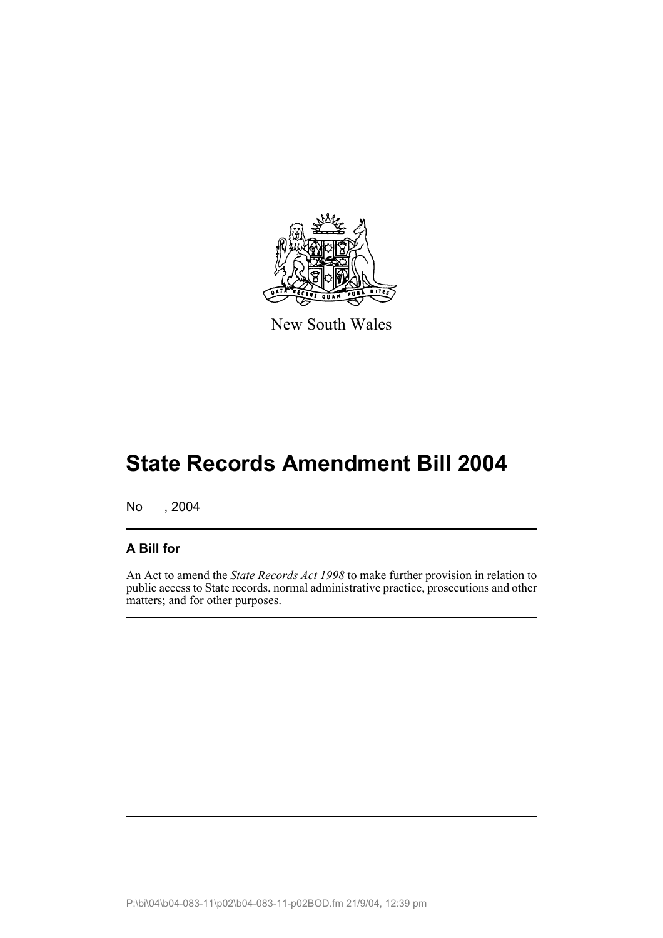

New South Wales

# **State Records Amendment Bill 2004**

No , 2004

### **A Bill for**

An Act to amend the *State Records Act 1998* to make further provision in relation to public access to State records, normal administrative practice, prosecutions and other matters; and for other purposes.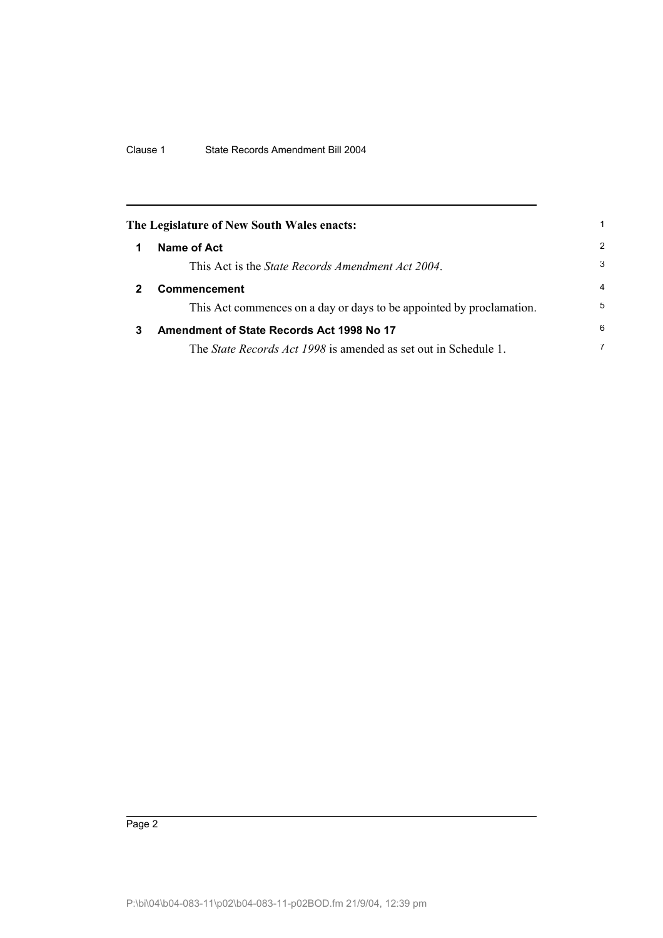<span id="page-9-2"></span><span id="page-9-1"></span><span id="page-9-0"></span>

| The Legislature of New South Wales enacts: |                                                                        |                |
|--------------------------------------------|------------------------------------------------------------------------|----------------|
|                                            | Name of Act                                                            | 2              |
|                                            | This Act is the <i>State Records Amendment Act 2004</i> .              | 3              |
|                                            | Commencement                                                           | $\overline{4}$ |
|                                            | This Act commences on a day or days to be appointed by proclamation.   | 5              |
| 3                                          | Amendment of State Records Act 1998 No 17                              | 6              |
|                                            | The <i>State Records Act 1998</i> is amended as set out in Schedule 1. | 7              |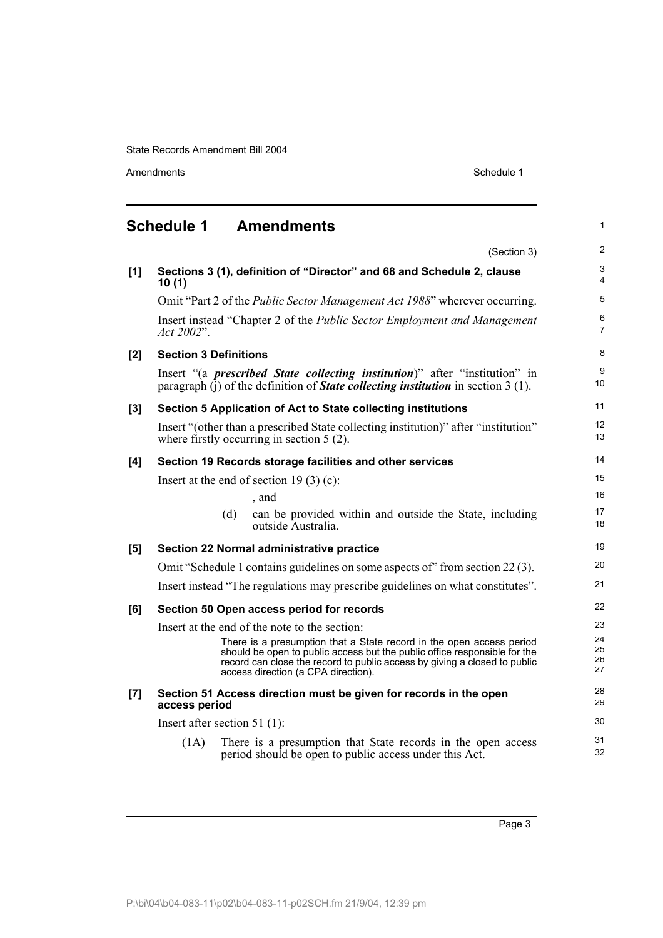Amendments Schedule 1

<span id="page-10-0"></span>

|     | <b>Schedule 1</b><br><b>Amendments</b>                                                                                                                                                                                                                                | $\mathbf{1}$         |
|-----|-----------------------------------------------------------------------------------------------------------------------------------------------------------------------------------------------------------------------------------------------------------------------|----------------------|
|     | (Section 3)                                                                                                                                                                                                                                                           | 2                    |
| [1] | Sections 3 (1), definition of "Director" and 68 and Schedule 2, clause<br>10(1)                                                                                                                                                                                       | 3<br>4               |
|     | Omit "Part 2 of the Public Sector Management Act 1988" wherever occurring.                                                                                                                                                                                            | 5                    |
|     | Insert instead "Chapter 2 of the Public Sector Employment and Management<br>Act 2002".                                                                                                                                                                                | 6<br>$\overline{7}$  |
| [2] | <b>Section 3 Definitions</b>                                                                                                                                                                                                                                          | 8                    |
|     | Insert "(a <i>prescribed State collecting institution</i> )" after "institution" in<br>paragraph $(i)$ of the definition of <b>State collecting institution</b> in section 3 (1).                                                                                     | 9<br>10              |
| [3] | Section 5 Application of Act to State collecting institutions                                                                                                                                                                                                         | 11                   |
|     | Insert "(other than a prescribed State collecting institution)" after "institution"<br>where firstly occurring in section $5(2)$ .                                                                                                                                    | 12<br>13             |
| [4] | Section 19 Records storage facilities and other services                                                                                                                                                                                                              | 14                   |
|     | Insert at the end of section 19 $(3)$ $(c)$ :                                                                                                                                                                                                                         | 15                   |
|     | , and                                                                                                                                                                                                                                                                 | 16                   |
|     | can be provided within and outside the State, including<br>(d)<br>outside Australia.                                                                                                                                                                                  | 17<br>18             |
| [5] | Section 22 Normal administrative practice                                                                                                                                                                                                                             | 19                   |
|     | Omit "Schedule 1 contains guidelines on some aspects of" from section 22(3).                                                                                                                                                                                          | 20                   |
|     | Insert instead "The regulations may prescribe guidelines on what constitutes".                                                                                                                                                                                        | 21                   |
| [6] | Section 50 Open access period for records                                                                                                                                                                                                                             | 22                   |
|     | Insert at the end of the note to the section:                                                                                                                                                                                                                         | 23                   |
|     | There is a presumption that a State record in the open access period<br>should be open to public access but the public office responsible for the<br>record can close the record to public access by giving a closed to public<br>access direction (a CPA direction). | 24<br>25<br>26<br>27 |
| [7] | Section 51 Access direction must be given for records in the open<br>access period                                                                                                                                                                                    | 28<br>29             |
|     | Insert after section 51 $(1)$ :                                                                                                                                                                                                                                       | 30                   |
|     | There is a presumption that State records in the open access<br>(1A)<br>period should be open to public access under this Act.                                                                                                                                        | 31<br>32             |

Page 3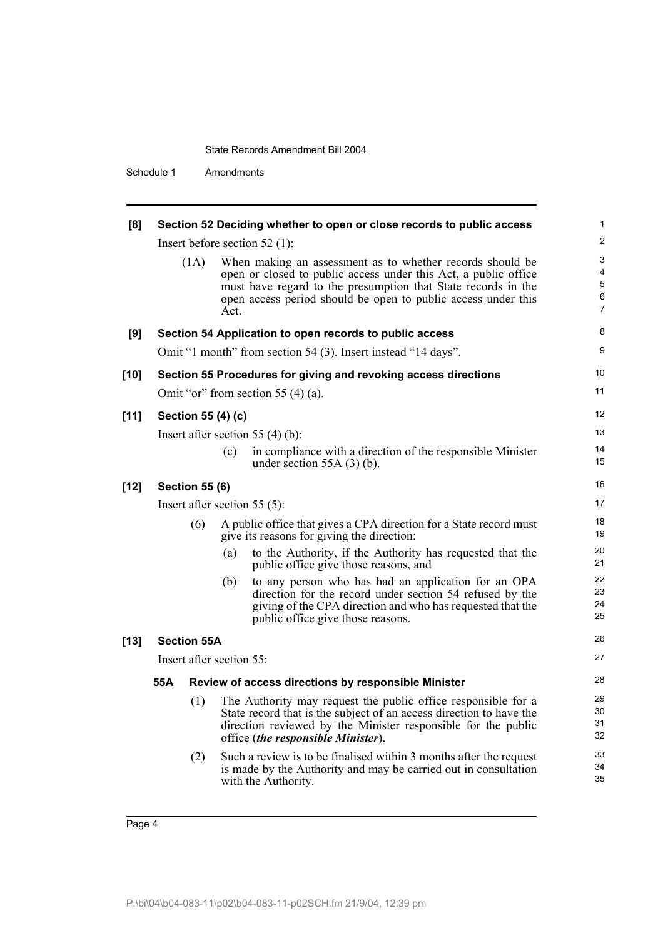Schedule 1 Amendments

| [8]    | Section 52 Deciding whether to open or close records to public access |                       |      |                                                                                                                                                                                                                                                                | $\mathbf{1}$                                |
|--------|-----------------------------------------------------------------------|-----------------------|------|----------------------------------------------------------------------------------------------------------------------------------------------------------------------------------------------------------------------------------------------------------------|---------------------------------------------|
|        | Insert before section $52$ (1):                                       |                       |      |                                                                                                                                                                                                                                                                | 2                                           |
|        |                                                                       | (1A)                  | Act. | When making an assessment as to whether records should be<br>open or closed to public access under this Act, a public office<br>must have regard to the presumption that State records in the<br>open access period should be open to public access under this | 3<br>4<br>$\sqrt{5}$<br>6<br>$\overline{7}$ |
| [9]    |                                                                       |                       |      | Section 54 Application to open records to public access                                                                                                                                                                                                        | 8                                           |
|        |                                                                       |                       |      | Omit "1 month" from section 54 (3). Insert instead "14 days".                                                                                                                                                                                                  | 9                                           |
| $[10]$ |                                                                       |                       |      | Section 55 Procedures for giving and revoking access directions                                                                                                                                                                                                | 10                                          |
|        |                                                                       |                       |      | Omit "or" from section 55 $(4)$ (a).                                                                                                                                                                                                                           | 11                                          |
| [11]   |                                                                       | Section 55 (4) (c)    |      |                                                                                                                                                                                                                                                                | 12                                          |
|        |                                                                       |                       |      | Insert after section 55 $(4)$ (b):                                                                                                                                                                                                                             | 13                                          |
|        |                                                                       |                       | (c)  | in compliance with a direction of the responsible Minister<br>under section 55A $(3)$ (b).                                                                                                                                                                     | 14<br>15                                    |
| $[12]$ |                                                                       | <b>Section 55 (6)</b> |      |                                                                                                                                                                                                                                                                | 16                                          |
|        |                                                                       |                       |      | Insert after section 55 $(5)$ :                                                                                                                                                                                                                                | 17                                          |
|        |                                                                       | (6)                   |      | A public office that gives a CPA direction for a State record must<br>give its reasons for giving the direction:                                                                                                                                               | 18<br>19                                    |
|        |                                                                       |                       | (a)  | to the Authority, if the Authority has requested that the<br>public office give those reasons, and                                                                                                                                                             | 20<br>21                                    |
|        |                                                                       |                       | (b)  | to any person who has had an application for an OPA<br>direction for the record under section 54 refused by the<br>giving of the CPA direction and who has requested that the<br>public office give those reasons.                                             | 22<br>23<br>24<br>25                        |
| $[13]$ | <b>Section 55A</b>                                                    |                       |      |                                                                                                                                                                                                                                                                | 26                                          |
|        | Insert after section 55:                                              |                       |      |                                                                                                                                                                                                                                                                |                                             |
|        | 55A<br>Review of access directions by responsible Minister            |                       |      |                                                                                                                                                                                                                                                                | 28                                          |
|        |                                                                       | (1)                   |      | The Authority may request the public office responsible for a<br>State record that is the subject of an access direction to have the<br>direction reviewed by the Minister responsible for the public<br>office (the responsible Minister).                    | 29<br>30<br>31<br>32                        |
|        |                                                                       | (2)                   |      | Such a review is to be finalised within 3 months after the request<br>is made by the Authority and may be carried out in consultation<br>with the Authority.                                                                                                   | 33<br>34<br>35                              |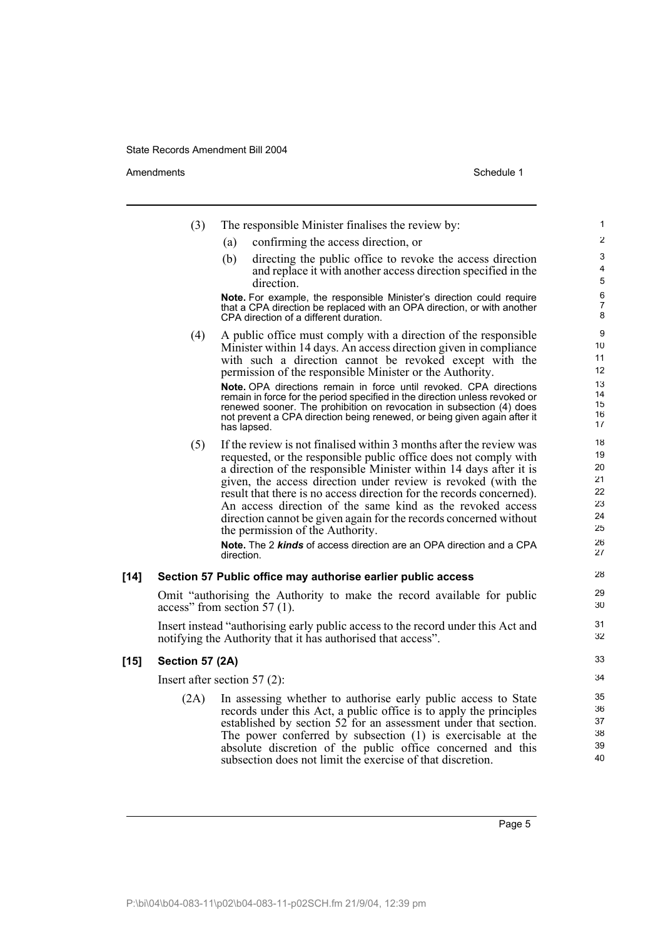Amendments Schedule 1

 $[15]$ 

|      | (3)                            | The responsible Minister finalises the review by:                                                                                                | 1                   |  |
|------|--------------------------------|--------------------------------------------------------------------------------------------------------------------------------------------------|---------------------|--|
|      |                                | confirming the access direction, or<br>(a)                                                                                                       | 2                   |  |
|      |                                | directing the public office to revoke the access direction<br>(b)                                                                                | 3                   |  |
|      |                                | and replace it with another access direction specified in the<br>direction.                                                                      | 4<br>5              |  |
|      |                                | Note. For example, the responsible Minister's direction could require                                                                            | 6                   |  |
|      |                                | that a CPA direction be replaced with an OPA direction, or with another<br>CPA direction of a different duration.                                | $\overline{7}$<br>8 |  |
|      | (4)                            | A public office must comply with a direction of the responsible                                                                                  | 9                   |  |
|      |                                | Minister within 14 days. An access direction given in compliance                                                                                 | 10<br>11            |  |
|      |                                | with such a direction cannot be revoked except with the<br>permission of the responsible Minister or the Authority.                              | 12                  |  |
|      |                                | Note. OPA directions remain in force until revoked. CPA directions                                                                               | 13                  |  |
|      |                                | remain in force for the period specified in the direction unless revoked or                                                                      | 14<br>15            |  |
|      |                                | renewed sooner. The prohibition on revocation in subsection (4) does<br>not prevent a CPA direction being renewed, or being given again after it | 16                  |  |
|      |                                | has lapsed.                                                                                                                                      | 17                  |  |
|      | (5)                            | If the review is not finalised within 3 months after the review was                                                                              | 18                  |  |
|      |                                | requested, or the responsible public office does not comply with                                                                                 | 19<br>20            |  |
|      |                                | a direction of the responsible Minister within 14 days after it is<br>given, the access direction under review is revoked (with the              | 21                  |  |
|      |                                | result that there is no access direction for the records concerned).                                                                             | 22                  |  |
|      |                                | An access direction of the same kind as the revoked access                                                                                       | 23                  |  |
|      |                                | direction cannot be given again for the records concerned without<br>the permission of the Authority.                                            | 24<br>25            |  |
|      |                                | Note. The 2 kinds of access direction are an OPA direction and a CPA                                                                             | 26                  |  |
|      |                                | direction.                                                                                                                                       | 27                  |  |
| [14] |                                | Section 57 Public office may authorise earlier public access                                                                                     | 28                  |  |
|      |                                | Omit "authorising the Authority to make the record available for public<br>access" from section 57 (1).                                          | 29<br>30            |  |
|      |                                | Insert instead "authorising early public access to the record under this Act and<br>notifying the Authority that it has authorised that access". | 31<br>32            |  |
| [15] | Section 57 (2A)                |                                                                                                                                                  | 33                  |  |
|      | Insert after section $57(2)$ : |                                                                                                                                                  |                     |  |
|      | (2A)                           | In assessing whether to authorise early public access to State                                                                                   | 35                  |  |
|      |                                | records under this Act, a public office is to apply the principles                                                                               | 36                  |  |
|      |                                | established by section 52 for an assessment under that section.                                                                                  | 37<br>38            |  |
|      |                                | The power conferred by subsection (1) is exercisable at the<br>absolute discretion of the public office concerned and this                       | 39                  |  |

subsection does not limit the exercise of that discretion.

Page 5

40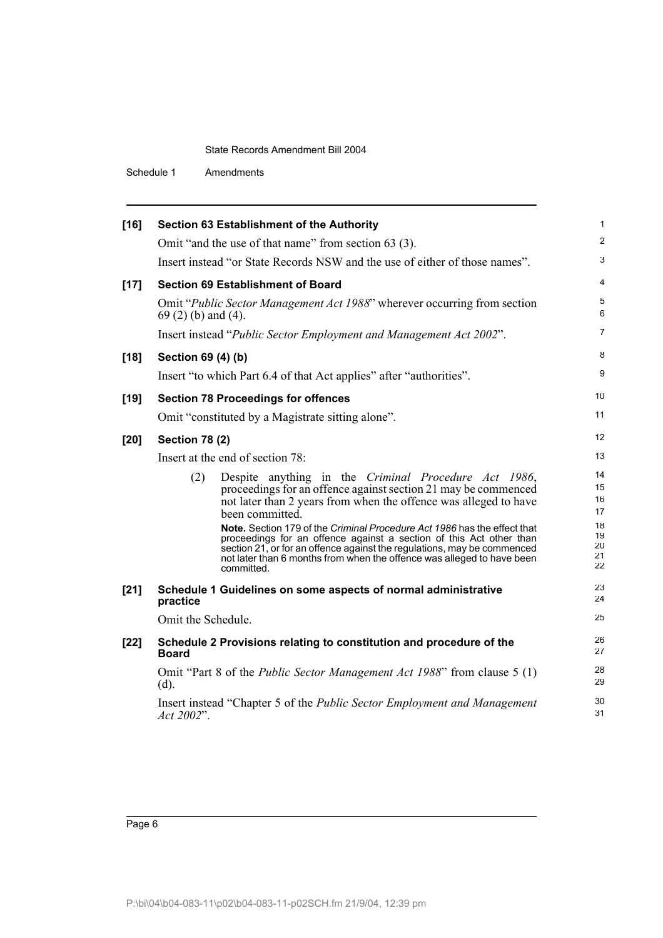Schedule 1 Amendments

| $[16]$ | Section 63 Establishment of the Authority                                                                                                                                                                                                                                                                          | $\mathbf{1}$               |  |  |  |
|--------|--------------------------------------------------------------------------------------------------------------------------------------------------------------------------------------------------------------------------------------------------------------------------------------------------------------------|----------------------------|--|--|--|
|        | Omit "and the use of that name" from section 63 (3).                                                                                                                                                                                                                                                               | $\overline{2}$             |  |  |  |
|        | Insert instead "or State Records NSW and the use of either of those names".                                                                                                                                                                                                                                        | 3                          |  |  |  |
| $[17]$ | <b>Section 69 Establishment of Board</b>                                                                                                                                                                                                                                                                           | $\overline{4}$             |  |  |  |
|        | Omit "Public Sector Management Act 1988" wherever occurring from section<br>$69(2)$ (b) and (4).                                                                                                                                                                                                                   | 5<br>6                     |  |  |  |
|        | Insert instead "Public Sector Employment and Management Act 2002".                                                                                                                                                                                                                                                 | $\overline{7}$             |  |  |  |
| $[18]$ | Section 69 (4) (b)                                                                                                                                                                                                                                                                                                 | 8                          |  |  |  |
|        | Insert "to which Part 6.4 of that Act applies" after "authorities".                                                                                                                                                                                                                                                | 9                          |  |  |  |
| $[19]$ | <b>Section 78 Proceedings for offences</b>                                                                                                                                                                                                                                                                         | 10                         |  |  |  |
|        | Omit "constituted by a Magistrate sitting alone".                                                                                                                                                                                                                                                                  |                            |  |  |  |
| $[20]$ | <b>Section 78 (2)</b>                                                                                                                                                                                                                                                                                              |                            |  |  |  |
|        | Insert at the end of section 78:                                                                                                                                                                                                                                                                                   |                            |  |  |  |
|        | Despite anything in the Criminal Procedure Act 1986,<br>(2)<br>proceedings for an offence against section 21 may be commenced<br>not later than 2 years from when the offence was alleged to have<br>been committed.                                                                                               | 14<br>15<br>16<br>17       |  |  |  |
|        | Note. Section 179 of the Criminal Procedure Act 1986 has the effect that<br>proceedings for an offence against a section of this Act other than<br>section 21, or for an offence against the regulations, may be commenced<br>not later than 6 months from when the offence was alleged to have been<br>committed. | 18<br>19<br>20<br>21<br>22 |  |  |  |
| $[21]$ | Schedule 1 Guidelines on some aspects of normal administrative<br>practice                                                                                                                                                                                                                                         | 23<br>24                   |  |  |  |
|        | Omit the Schedule.                                                                                                                                                                                                                                                                                                 | 25                         |  |  |  |
| $[22]$ | Schedule 2 Provisions relating to constitution and procedure of the<br><b>Board</b>                                                                                                                                                                                                                                | 26<br>27                   |  |  |  |
|        | Omit "Part 8 of the <i>Public Sector Management Act 1988</i> " from clause 5 (1)<br>$(d)$ .                                                                                                                                                                                                                        | 28<br>29                   |  |  |  |
|        | Insert instead "Chapter 5 of the Public Sector Employment and Management<br>Act 2002".                                                                                                                                                                                                                             | 30<br>31                   |  |  |  |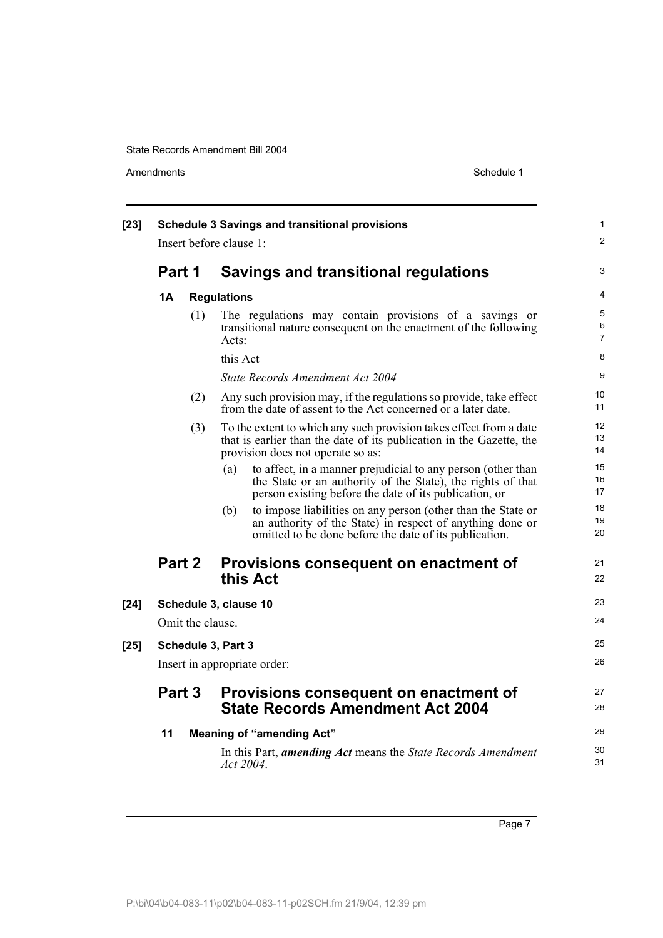Amendments Schedule 1

| $[23]$ | <b>Schedule 3 Savings and transitional provisions</b><br>Insert before clause 1: |                    |                                                                                                                                                                                              |                          |
|--------|----------------------------------------------------------------------------------|--------------------|----------------------------------------------------------------------------------------------------------------------------------------------------------------------------------------------|--------------------------|
|        | Part 1                                                                           |                    | <b>Savings and transitional regulations</b>                                                                                                                                                  |                          |
|        | 1Α                                                                               | <b>Regulations</b> |                                                                                                                                                                                              |                          |
|        |                                                                                  | (1)                | The regulations may contain provisions of a savings or<br>transitional nature consequent on the enactment of the following<br>$Acts$ :                                                       | 5<br>6<br>$\overline{7}$ |
|        |                                                                                  |                    | this Act                                                                                                                                                                                     | 8                        |
|        |                                                                                  |                    | State Records Amendment Act 2004                                                                                                                                                             | 9                        |
|        |                                                                                  | (2)                | Any such provision may, if the regulations so provide, take effect<br>from the date of assent to the Act concerned or a later date.                                                          | 10<br>11                 |
|        |                                                                                  | (3)                | To the extent to which any such provision takes effect from a date<br>that is earlier than the date of its publication in the Gazette, the<br>provision does not operate so as:              | 12<br>13<br>14           |
|        |                                                                                  |                    | to affect, in a manner prejudicial to any person (other than<br>(a)<br>the State or an authority of the State), the rights of that<br>person existing before the date of its publication, or | 15<br>16<br>17           |
|        |                                                                                  |                    | to impose liabilities on any person (other than the State or<br>(b)<br>an authority of the State) in respect of anything done or<br>omitted to be done before the date of its publication.   | 18<br>19<br>20           |
|        | Part 2                                                                           |                    | Provisions consequent on enactment of<br>this Act                                                                                                                                            | 21<br>22                 |
| $[24]$ |                                                                                  |                    | Schedule 3, clause 10                                                                                                                                                                        | 23                       |
|        |                                                                                  | Omit the clause.   |                                                                                                                                                                                              | 24                       |
| $[25]$ |                                                                                  |                    | Schedule 3, Part 3                                                                                                                                                                           | 25                       |
|        |                                                                                  |                    | Insert in appropriate order:                                                                                                                                                                 | 26                       |
|        | Part 3                                                                           |                    | Provisions consequent on enactment of<br><b>State Records Amendment Act 2004</b>                                                                                                             | 27<br>28                 |
|        | 11                                                                               |                    | <b>Meaning of "amending Act"</b>                                                                                                                                                             | 29                       |
|        |                                                                                  |                    | In this Part, <i>amending Act</i> means the <i>State Records Amendment</i><br>Act $2004$ .                                                                                                   | 30<br>31                 |

Page 7